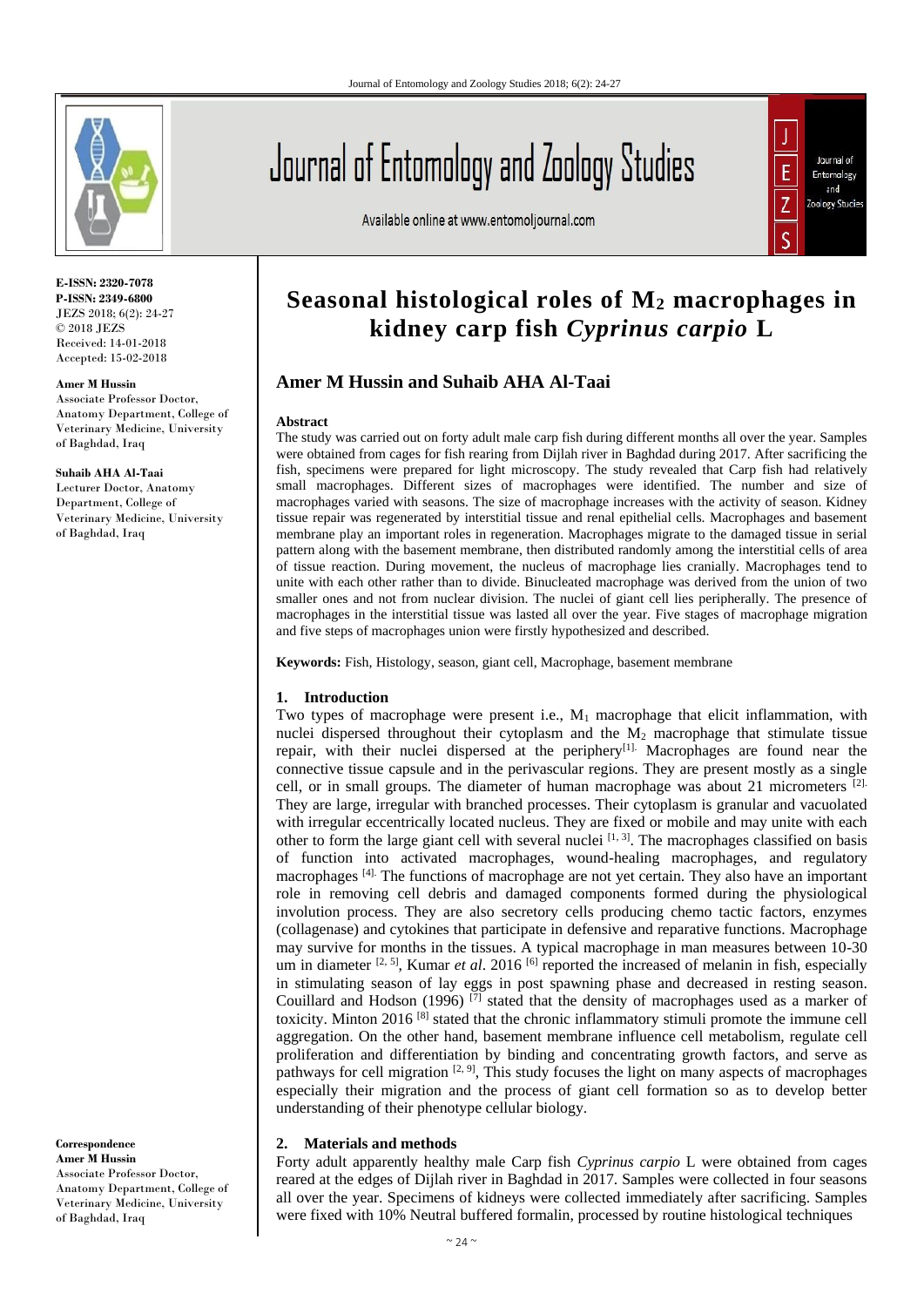

**E-ISSN: 2320-7078 P-ISSN: 2349-6800** JEZS 2018; 6(2): 24-27 © 2018 JEZS Received: 14-01-2018 Accepted: 15-02-2018

#### **Amer M Hussin**

Associate Professor Doctor, Anatomy Department, College of Veterinary Medicine, University of Baghdad, Iraq

#### **Suhaib AHA Al-Taai**

Lecturer Doctor, Anatomy Department, College of Veterinary Medicine, University of Baghdad, Iraq

**Correspondence Amer M Hussin** Associate Professor Doctor, Anatomy Department, College of Veterinary Medicine, University of Baghdad, Iraq

# Journal of Entomology and Zoology Studies

Available online at www.entomoljournal.com



## **Seasonal histological roles of M<sup>2</sup> macrophages in kidney carp fish** *Cyprinus carpio* **L**

### **Amer M Hussin and Suhaib AHA Al-Taai**

#### **Abstract**

The study was carried out on forty adult male carp fish during different months all over the year. Samples were obtained from cages for fish rearing from Dijlah river in Baghdad during 2017. After sacrificing the fish, specimens were prepared for light microscopy. The study revealed that Carp fish had relatively small macrophages. Different sizes of macrophages were identified. The number and size of macrophages varied with seasons. The size of macrophage increases with the activity of season. Kidney tissue repair was regenerated by interstitial tissue and renal epithelial cells. Macrophages and basement membrane play an important roles in regeneration. Macrophages migrate to the damaged tissue in serial pattern along with the basement membrane, then distributed randomly among the interstitial cells of area of tissue reaction. During movement, the nucleus of macrophage lies cranially. Macrophages tend to unite with each other rather than to divide. Binucleated macrophage was derived from the union of two smaller ones and not from nuclear division. The nuclei of giant cell lies peripherally. The presence of macrophages in the interstitial tissue was lasted all over the year. Five stages of macrophage migration and five steps of macrophages union were firstly hypothesized and described.

**Keywords:** Fish, Histology, season, giant cell, Macrophage, basement membrane

#### **1. Introduction**

Two types of macrophage were present i.e.,  $M_1$  macrophage that elicit inflammation, with nuclei dispersed throughout their cytoplasm and the  $M_2$  macrophage that stimulate tissue repair, with their nuclei dispersed at the periphery<sup>[1].</sup> Macrophages are found near the connective tissue capsule and in the perivascular regions. They are present mostly as a single cell, or in small groups. The diameter of human macrophage was about 21 micrometers  $[2]$ . They are large, irregular with branched processes. Their cytoplasm is granular and vacuolated with irregular eccentrically located nucleus. They are fixed or mobile and may unite with each other to form the large giant cell with several nuclei  $^{[1, 3]}$ . The macrophages classified on basis of function into activated macrophages, wound-healing macrophages, and regulatory macrophages [4]. The functions of macrophage are not yet certain. They also have an important role in removing cell debris and damaged components formed during the physiological involution process. They are also secretory cells producing chemo tactic factors, enzymes (collagenase) and cytokines that participate in defensive and reparative functions. Macrophage may survive for months in the tissues. A typical macrophage in man measures between 10-30 um in diameter <sup>[2, 5]</sup>, Kumar *et al.* 2016 <sup>[6]</sup> reported the increased of melanin in fish, especially in stimulating season of lay eggs in post spawning phase and decreased in resting season. Couillard and Hodson (1996)  $\overline{[7]}$  stated that the density of macrophages used as a marker of toxicity. Minton 2016 [8] stated that the chronic inflammatory stimuli promote the immune cell aggregation. On the other hand, basement membrane influence cell metabolism, regulate cell proliferation and differentiation by binding and concentrating growth factors, and serve as pathways for cell migration  $[2, 9]$ , This study focuses the light on many aspects of macrophages especially their migration and the process of giant cell formation so as to develop better understanding of their phenotype cellular biology.

#### **2. Materials and methods**

Forty adult apparently healthy male Carp fish *Cyprinus carpio* L were obtained from cages reared at the edges of Dijlah river in Baghdad in 2017. Samples were collected in four seasons all over the year. Specimens of kidneys were collected immediately after sacrificing. Samples were fixed with 10% Neutral buffered formalin, processed by routine histological techniques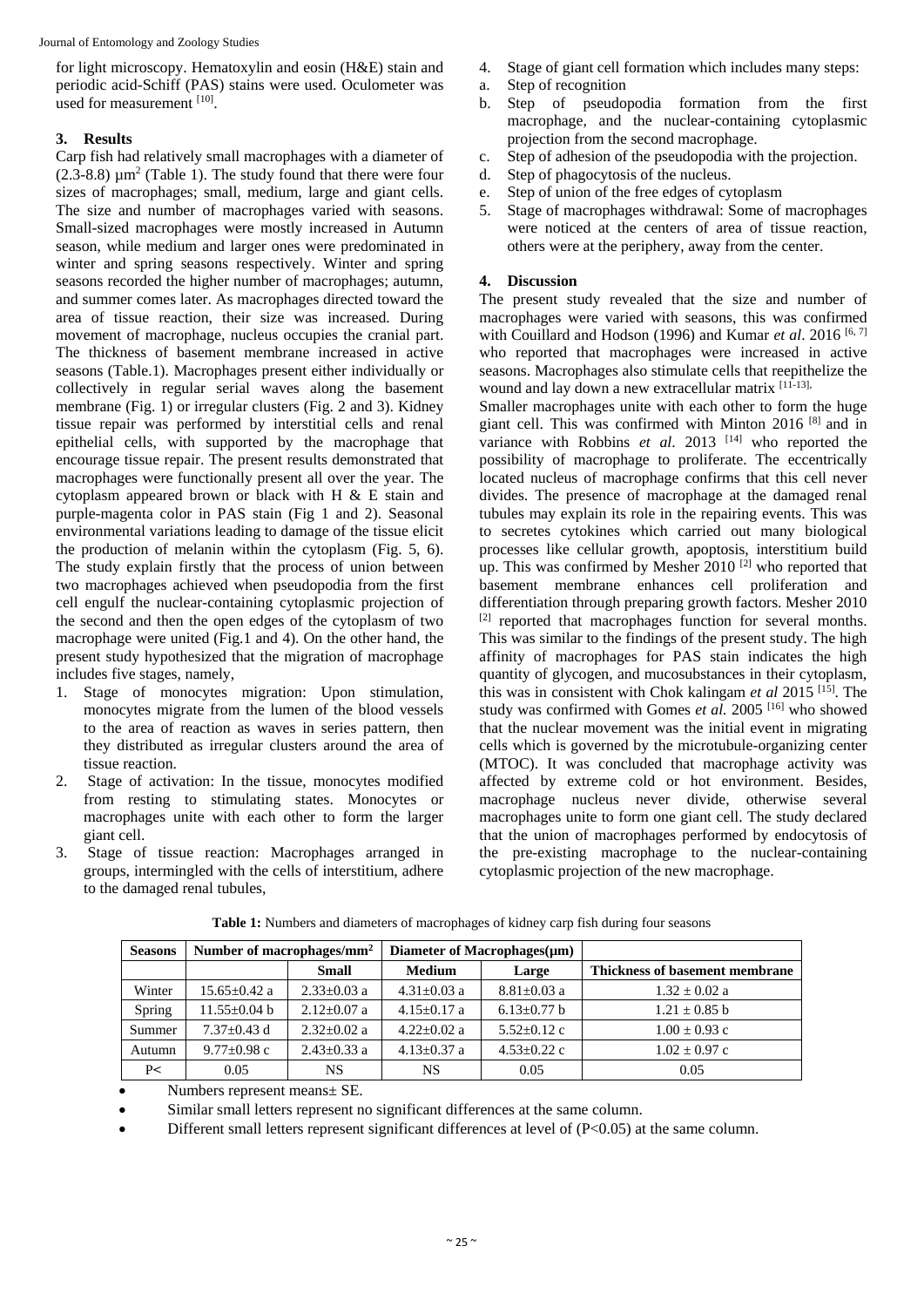for light microscopy. Hematoxylin and eosin (H&E) stain and periodic acid-Schiff (PAS) stains were used. Oculometer was used for measurement [10].

#### **3. Results**

Carp fish had relatively small macrophages with a diameter of  $(2.3-8.8) \mu m^2$  (Table 1). The study found that there were four sizes of macrophages; small, medium, large and giant cells. The size and number of macrophages varied with seasons. Small-sized macrophages were mostly increased in Autumn season, while medium and larger ones were predominated in winter and spring seasons respectively. Winter and spring seasons recorded the higher number of macrophages; autumn, and summer comes later. As macrophages directed toward the area of tissue reaction, their size was increased. During movement of macrophage, nucleus occupies the cranial part. The thickness of basement membrane increased in active seasons (Table.1). Macrophages present either individually or collectively in regular serial waves along the basement membrane (Fig. 1) or irregular clusters (Fig. 2 and 3). Kidney tissue repair was performed by interstitial cells and renal epithelial cells, with supported by the macrophage that encourage tissue repair. The present results demonstrated that macrophages were functionally present all over the year. The cytoplasm appeared brown or black with H & E stain and purple-magenta color in PAS stain (Fig 1 and 2). Seasonal environmental variations leading to damage of the tissue elicit the production of melanin within the cytoplasm (Fig. 5, 6). The study explain firstly that the process of union between two macrophages achieved when pseudopodia from the first cell engulf the nuclear-containing cytoplasmic projection of the second and then the open edges of the cytoplasm of two macrophage were united (Fig.1 and 4). On the other hand, the present study hypothesized that the migration of macrophage includes five stages, namely,

- 1. Stage of monocytes migration: Upon stimulation, monocytes migrate from the lumen of the blood vessels to the area of reaction as waves in series pattern, then they distributed as irregular clusters around the area of tissue reaction.
- 2. Stage of activation: In the tissue, monocytes modified from resting to stimulating states. Monocytes or macrophages unite with each other to form the larger giant cell.
- 3. Stage of tissue reaction: Macrophages arranged in groups, intermingled with the cells of interstitium, adhere to the damaged renal tubules,
- 4. Stage of giant cell formation which includes many steps:
- a. Step of recognition
- b. Step of pseudopodia formation from the first macrophage, and the nuclear-containing cytoplasmic projection from the second macrophage.
- c. Step of adhesion of the pseudopodia with the projection.
- d. Step of phagocytosis of the nucleus.
- e. Step of union of the free edges of cytoplasm
- 5. Stage of macrophages withdrawal: Some of macrophages were noticed at the centers of area of tissue reaction, others were at the periphery, away from the center.

#### **4. Discussion**

The present study revealed that the size and number of macrophages were varied with seasons, this was confirmed with Couillard and Hodson (1996) and Kumar *et al.* 2016<sup>[6, 7]</sup> who reported that macrophages were increased in active seasons. Macrophages also stimulate cells that reepithelize the wound and lay down a new extracellular matrix [11-13],

Smaller macrophages unite with each other to form the huge giant cell. This was confirmed with Minton 2016 [8] and in variance with Robbins *et al.* 2013<sup>[14]</sup> who reported the possibility of macrophage to proliferate. The eccentrically located nucleus of macrophage confirms that this cell never divides. The presence of macrophage at the damaged renal tubules may explain its role in the repairing events. This was to secretes cytokines which carried out many biological processes like cellular growth, apoptosis, interstitium build up. This was confirmed by Mesher  $2010$ <sup>[2]</sup> who reported that basement membrane enhances cell proliferation and differentiation through preparing growth factors. Mesher 2010 [2] reported that macrophages function for several months. This was similar to the findings of the present study. The high affinity of macrophages for PAS stain indicates the high quantity of glycogen, and mucosubstances in their cytoplasm, this was in consistent with Chok kalingam *et al* 2015 [15]. The study was confirmed with Gomes *et al.* 2005 [16] who showed that the nuclear movement was the initial event in migrating cells which is governed by the microtubule-organizing center (MTOC). It was concluded that macrophage activity was affected by extreme cold or hot environment. Besides, macrophage nucleus never divide, otherwise several macrophages unite to form one giant cell. The study declared that the union of macrophages performed by endocytosis of the pre-existing macrophage to the nuclear-containing cytoplasmic projection of the new macrophage.

| <b>Seasons</b> | Number of macrophages/mm <sup>2</sup> |                   | Diameter of Macrophages $(\mu m)$ |                   |                                |
|----------------|---------------------------------------|-------------------|-----------------------------------|-------------------|--------------------------------|
|                |                                       | <b>Small</b>      | <b>Medium</b>                     | Large             | Thickness of basement membrane |
| Winter         | $15.65 \pm 0.42$ a                    | $2.33 \pm 0.03$ a | $4.31 \pm 0.03$ a                 | $8.81 \pm 0.03$ a | $1.32 \pm 0.02$ a              |
| Spring         | $11.55 \pm 0.04$ b                    | $2.12+0.07$ a     | $4.15+0.17$ a                     | $6.13 \pm 0.77$ b | $1.21 \pm 0.85$ b              |
| Summer         | $7.37+0.43$ d                         | $2.32+0.02$ a     | $4.22+0.02$ a                     | $5.52+0.12$ c     | $1.00 \pm 0.93$ c              |
| Autumn         | $9.77 \pm 0.98$ c                     | $2.43 \pm 0.33$ a | $4.13 \pm 0.37$ a                 | $4.53 \pm 0.22$ c | $1.02 + 0.97$ c                |
| P<             | 0.05                                  | NS.               | NS                                | 0.05              | 0.05                           |

**Table 1:** Numbers and diameters of macrophages of kidney carp fish during four seasons

• Numbers represent means± SE.

Similar small letters represent no significant differences at the same column.

• Different small letters represent significant differences at level of (P<0.05) at the same column.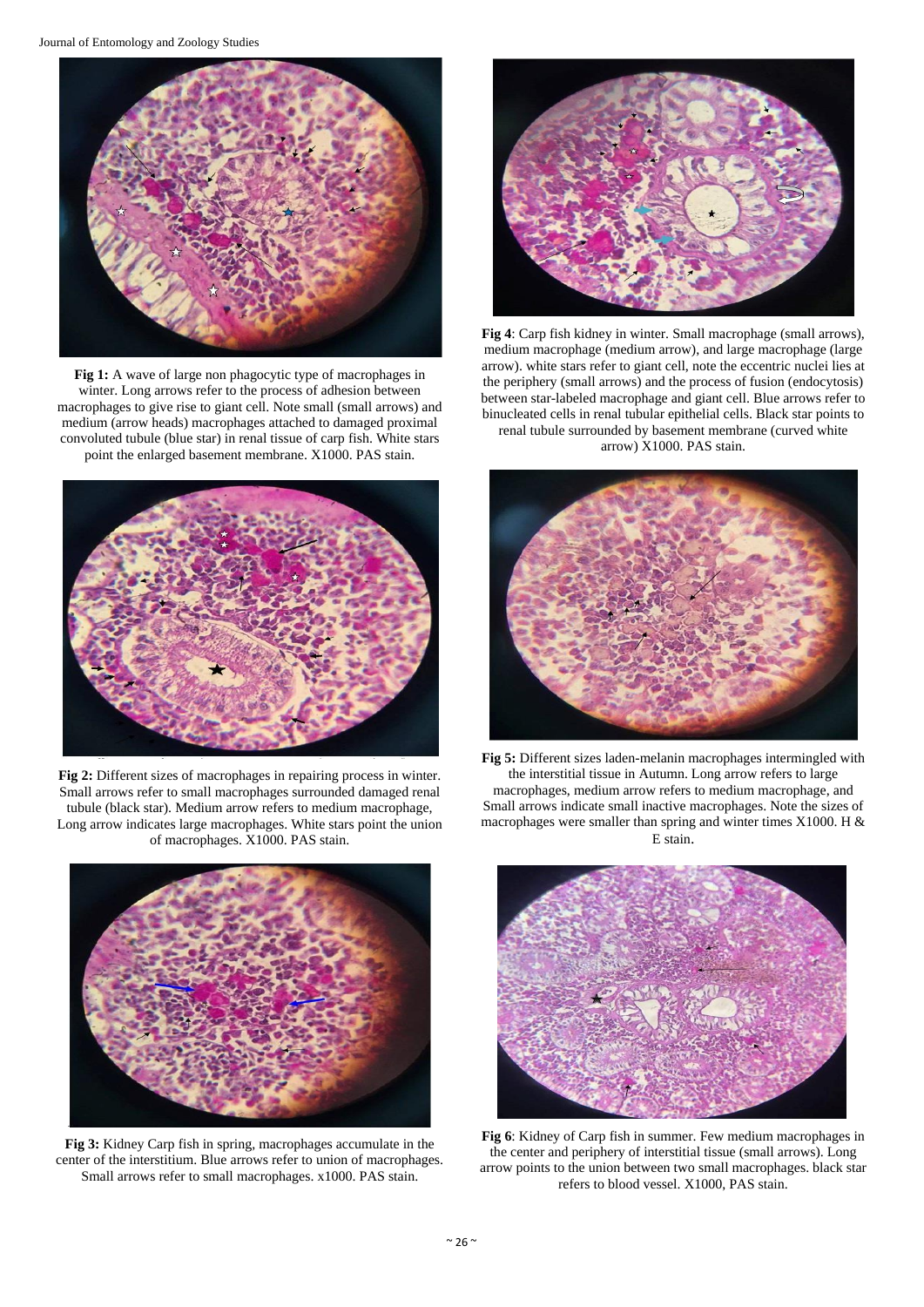

**Fig 1:** A wave of large non phagocytic type of macrophages in winter. Long arrows refer to the process of adhesion between macrophages to give rise to giant cell. Note small (small arrows) and medium (arrow heads) macrophages attached to damaged proximal convoluted tubule (blue star) in renal tissue of carp fish. White stars point the enlarged basement membrane. X1000. PAS stain.



**Fig 2:** Different sizes of macrophages in repairing process in winter. Small arrows refer to small macrophages surrounded damaged renal tubule (black star). Medium arrow refers to medium macrophage, Long arrow indicates large macrophages. White stars point the union of macrophages. X1000. PAS stain.



**Fig 3:** Kidney Carp fish in spring, macrophages accumulate in the center of the interstitium. Blue arrows refer to union of macrophages. Small arrows refer to small macrophages. x1000. PAS stain.



**Fig 4**: Carp fish kidney in winter. Small macrophage (small arrows), medium macrophage (medium arrow), and large macrophage (large arrow). white stars refer to giant cell, note the eccentric nuclei lies at the periphery (small arrows) and the process of fusion (endocytosis) between star-labeled macrophage and giant cell. Blue arrows refer to binucleated cells in renal tubular epithelial cells. Black star points to renal tubule surrounded by basement membrane (curved white arrow) X1000. PAS stain.



**Fig 5:** Different sizes laden-melanin macrophages intermingled with the interstitial tissue in Autumn. Long arrow refers to large macrophages, medium arrow refers to medium macrophage, and Small arrows indicate small inactive macrophages. Note the sizes of macrophages were smaller than spring and winter times X1000. H & E stain.



**Fig 6**: Kidney of Carp fish in summer. Few medium macrophages in the center and periphery of interstitial tissue (small arrows). Long arrow points to the union between two small macrophages. black star refers to blood vessel. X1000, PAS stain.